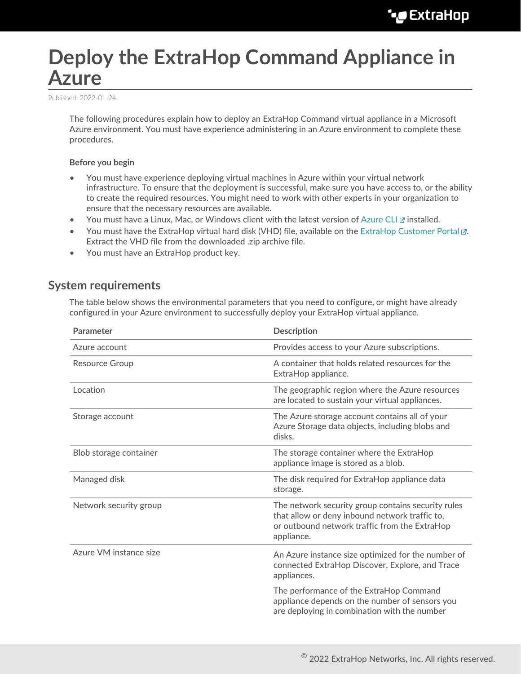# **Deploy the ExtraHop Command Appliance in Azure**

Published: 2022-01-24

The following procedures explain how to deploy an ExtraHop Command virtual appliance in a Microsoft Azure environment. You must have experience administering in an Azure environment to complete these procedures.

#### **Before you begin**

- You must have experience deploying virtual machines in Azure within your virtual network infrastructure. To ensure that the deployment is successful, make sure you have access to, or the ability to create the required resources. You might need to work with other experts in your organization to ensure that the necessary resources are available.
- You must have a Linux, Mac, or Windows client with the latest version of [Azure CLI](https://docs.microsoft.com/en-us/cli/azure/install-azure-cli?view=azure-cli-latest) E installed.
- You must have the ExtraHop virtual hard disk (VHD) file, available on the [ExtraHop Customer Portal .](https://customers.extrahop.com/downloads/virtual-appliances/).. Extract the VHD file from the downloaded .zip archive file.
- You must have an ExtraHop product key.

### **System requirements**

The table below shows the environmental parameters that you need to configure, or might have already configured in your Azure environment to successfully deploy your ExtraHop virtual appliance.

| Parameter              | <b>Description</b>                                                                                                                                                  |  |
|------------------------|---------------------------------------------------------------------------------------------------------------------------------------------------------------------|--|
| Azure account          | Provides access to your Azure subscriptions.                                                                                                                        |  |
| <b>Resource Group</b>  | A container that holds related resources for the<br>ExtraHop appliance.                                                                                             |  |
| Location               | The geographic region where the Azure resources<br>are located to sustain your virtual appliances.                                                                  |  |
| Storage account        | The Azure storage account contains all of your<br>Azure Storage data objects, including blobs and<br>disks.                                                         |  |
| Blob storage container | The storage container where the ExtraHop<br>appliance image is stored as a blob.                                                                                    |  |
| Managed disk           | The disk required for ExtraHop appliance data<br>storage.                                                                                                           |  |
| Network security group | The network security group contains security rules<br>that allow or deny inbound network traffic to,<br>or outbound network traffic from the ExtraHop<br>appliance. |  |
| Azure VM instance size | An Azure instance size optimized for the number of<br>connected ExtraHop Discover, Explore, and Trace<br>appliances.                                                |  |
|                        | The performance of the ExtraHop Command<br>appliance depends on the number of sensors you<br>are deploying in combination with the number                           |  |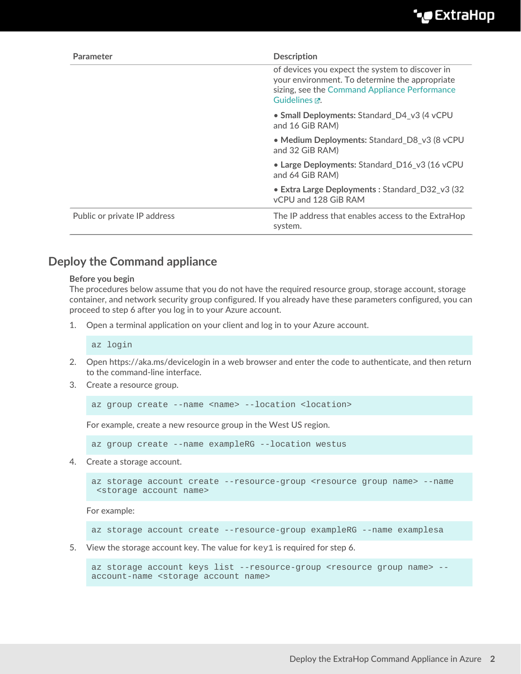| <b>Parameter</b>             | <b>Description</b>                                                                                                                                                  |
|------------------------------|---------------------------------------------------------------------------------------------------------------------------------------------------------------------|
|                              | of devices you expect the system to discover in<br>your environment. To determine the appropriate<br>sizing, see the Command Appliance Performance<br>Guidelines M. |
|                              | • Small Deployments: Standard D4 v3 (4 vCPU<br>and 16 GiB RAM)                                                                                                      |
|                              | • Medium Deployments: Standard_D8_v3 (8 vCPU<br>and 32 GiB RAM)                                                                                                     |
|                              | • Large Deployments: Standard D16 v3 (16 vCPU<br>and 64 GiB RAM)                                                                                                    |
|                              | • Extra Large Deployments: Standard_D32_v3 (32<br>vCPU and 128 GiB RAM                                                                                              |
| Public or private IP address | The IP address that enables access to the ExtraHop<br>system.                                                                                                       |

## **Deploy the Command appliance**

#### **Before you begin**

The procedures below assume that you do not have the required resource group, storage account, storage container, and network security group configured. If you already have these parameters configured, you can proceed to step 6 after you log in to your Azure account.

1. Open a terminal application on your client and log in to your Azure account.

az login

- 2. Open https://aka.ms/devicelogin in a web browser and enter the code to authenticate, and then return to the command-line interface.
- 3. Create a resource group.

az group create --name <name> --location <location>

For example, create a new resource group in the West US region.

az group create --name exampleRG --location westus

4. Create a storage account.

```
az storage account create --resource-group <resource group name> --name
 <storage account name>
```
For example:

```
az storage account create --resource-group exampleRG --name examplesa
```
5. View the storage account key. The value for  $key1$  is required for step 6.

```
az storage account keys list --resource-group <resource group name> --
account-name <storage account name>
```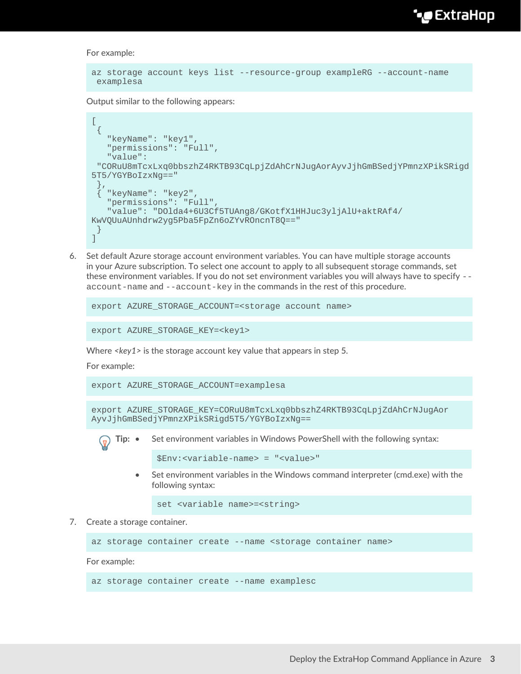**∙e** ExtraHop

For example:

```
az storage account keys list --resource-group exampleRG --account-name
 examplesa
```
Output similar to the following appears:

```
\lceil\{ "keyName": "key1",
    "permissions": "Full",
    "value":
  "CORuU8mTcxLxq0bbszhZ4RKTB93CqLpjZdAhCrNJugAorAyvJjhGmBSedjYPmnzXPikSRigd
5T5/YGYBoIzxNg=="
 },
    { "keyName": "key2",
    "permissions": "Full",
    "value": "DOlda4+6U3Cf5TUAng8/GKotfX1HHJuc3yljAlU+aktRAf4/
KwVQUuAUnhdrw2yg5Pba5FpZn6oZYvROncnT8Q=="
  }
]
```
6. Set default Azure storage account environment variables. You can have multiple storage accounts in your Azure subscription. To select one account to apply to all subsequent storage commands, set these environment variables. If you do not set environment variables you will always have to specify - account-name and --account-key in the commands in the rest of this procedure.

```
export AZURE_STORAGE_ACCOUNT=<storage account name>
```

```
export AZURE_STORAGE_KEY=<key1>
```
Where *<key1>* is the storage account key value that appears in step 5.

For example:

export AZURE\_STORAGE\_ACCOUNT=examplesa

```
export AZURE_STORAGE_KEY=CORuU8mTcxLxq0bbszhZ4RKTB93CqLpjZdAhCrNJugAor
AyvJjhGmBSedjYPmnzXPikSRigd5T5/YGYBoIzxNg==
```


```
$Env:<variable-name> = "<value>"
```
• Set environment variables in the Windows command interpreter (cmd.exe) with the following syntax:

set <variable name>=<string>

7. Create a storage container.

az storage container create --name <storage container name>

For example:

az storage container create --name examplesc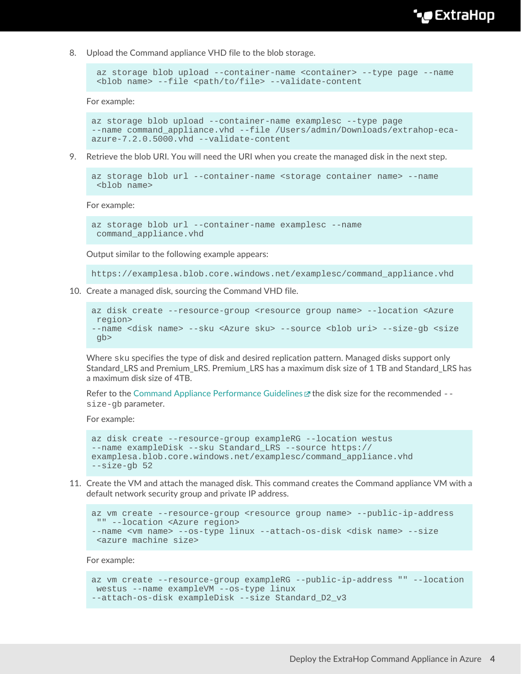## **∙e** ExtraHop

8. Upload the Command appliance VHD file to the blob storage.

```
 az storage blob upload --container-name <container> --type page --name
 <blob name> --file <path/to/file> --validate-content
```
For example:

```
az storage blob upload --container-name examplesc --type page
--name command appliance.vhd --file /Users/admin/Downloads/extrahop-eca-
azure-7.2.0.5000.vhd --validate-content
```
9. Retrieve the blob URI. You will need the URI when you create the managed disk in the next step.

```
az storage blob url --container-name <storage container name> --name
 <blob name>
```
For example:

```
az storage blob url --container-name examplesc --name
 command_appliance.vhd
```
Output similar to the following example appears:

https://examplesa.blob.core.windows.net/examplesc/command\_appliance.vhd

10. Create a managed disk, sourcing the Command VHD file.

```
az disk create --resource-group <resource group name> --location <Azure
 region> 
--name <disk name> --sku <Azure sku> --source <blob uri> --size-gb <size
 gb>
```
Where sku specifies the type of disk and desired replication pattern. Managed disks support only Standard\_LRS and Premium\_LRS. Premium\_LRS has a maximum disk size of 1 TB and Standard\_LRS has a maximum disk size of 4TB.

Refer to the [Command Appliance Performance Guidelines](https://docs.extrahop.com/8.7/customers/eca-guidelines)  $\mathbb Z$  the disk size for the recommended  $-\mathbb Z$ size-gb parameter.

For example:

```
az disk create --resource-group exampleRG --location westus 
--name exampleDisk --sku Standard_LRS --source https://
examplesa.blob.core.windows.net/examplesc/command_appliance.vhd 
--size-gb 52
```
11. Create the VM and attach the managed disk. This command creates the Command appliance VM with a default network security group and private IP address.

```
az vm create --resource-group <resource group name> --public-ip-address
 "" --location <Azure region> 
--name <vm name> --os-type linux --attach-os-disk <disk name> --size
 <azure machine size>
```
For example:

```
az vm create --resource-group exampleRG --public-ip-address "" --location
 westus --name exampleVM --os-type linux 
--attach-os-disk exampleDisk --size Standard_D2_v3
```